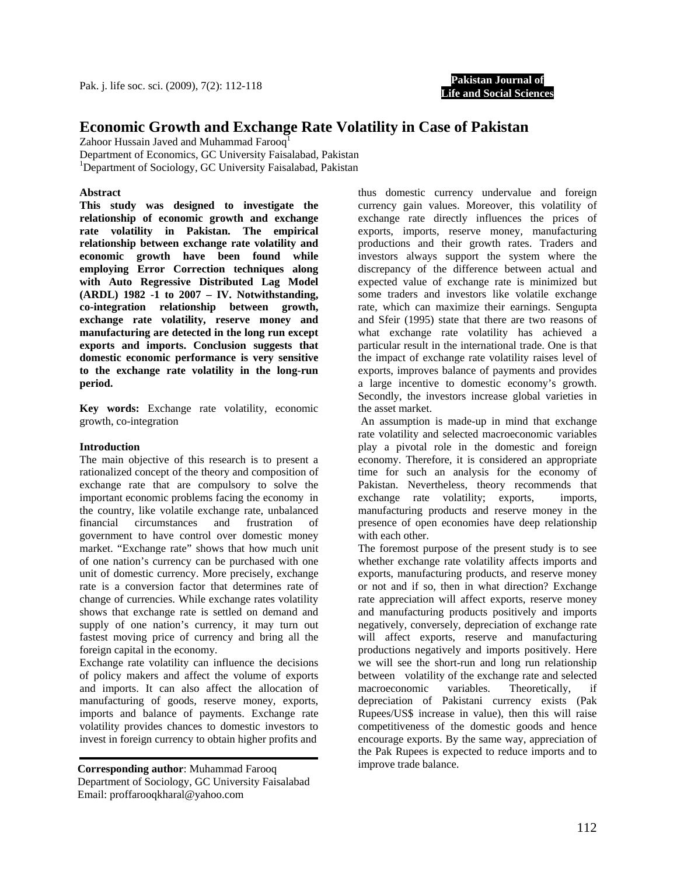

# **Economic Growth and Exchange Rate Volatility in Case of Pakistan**

Zahoor Hussain Javed and Muhammad Farooq<sup>1</sup> Department of Economics, GC University Faisalabad, Pakistan

<sup>1</sup>Department of Sociology, GC University Faisalabad, Pakistan

## **Abstract**

**This study was designed to investigate the relationship of economic growth and exchange rate volatility in Pakistan. The empirical relationship between exchange rate volatility and economic growth have been found while employing Error Correction techniques along with Auto Regressive Distributed Lag Model (ARDL) 1982 -1 to 2007 – IV. Notwithstanding, co-integration relationship between growth, exchange rate volatility, reserve money and manufacturing are detected in the long run except exports and imports. Conclusion suggests that domestic economic performance is very sensitive to the exchange rate volatility in the long-run period.** 

**Key words:** Exchange rate volatility, economic growth, co-integration

## **Introduction**

The main objective of this research is to present a rationalized concept of the theory and composition of exchange rate that are compulsory to solve the important economic problems facing the economy in the country, like volatile exchange rate, unbalanced financial circumstances and frustration of government to have control over domestic money market. "Exchange rate" shows that how much unit of one nation's currency can be purchased with one unit of domestic currency. More precisely, exchange rate is a conversion factor that determines rate of change of currencies. While exchange rates volatility shows that exchange rate is settled on demand and supply of one nation's currency, it may turn out fastest moving price of currency and bring all the foreign capital in the economy.

Exchange rate volatility can influence the decisions of policy makers and affect the volume of exports and imports. It can also affect the allocation of manufacturing of goods, reserve money, exports, imports and balance of payments. Exchange rate volatility provides chances to domestic investors to invest in foreign currency to obtain higher profits and

**Corresponding author**: Muhammad Farooq Department of Sociology, GC University Faisalabad Email: proffarooqkharal@yahoo.com

thus domestic currency undervalue and foreign currency gain values. Moreover, this volatility of exchange rate directly influences the prices of exports, imports, reserve money, manufacturing productions and their growth rates. Traders and investors always support the system where the discrepancy of the difference between actual and expected value of exchange rate is minimized but some traders and investors like volatile exchange rate, which can maximize their earnings. Sengupta and Sfeir (1995) state that there are two reasons of what exchange rate volatility has achieved a particular result in the international trade. One is that the impact of exchange rate volatility raises level of exports, improves balance of payments and provides a large incentive to domestic economy's growth. Secondly, the investors increase global varieties in the asset market.

 An assumption is made-up in mind that exchange rate volatility and selected macroeconomic variables play a pivotal role in the domestic and foreign economy. Therefore, it is considered an appropriate time for such an analysis for the economy of Pakistan. Nevertheless, theory recommends that exchange rate volatility; exports, imports, manufacturing products and reserve money in the presence of open economies have deep relationship with each other.

The foremost purpose of the present study is to see whether exchange rate volatility affects imports and exports, manufacturing products, and reserve money or not and if so, then in what direction? Exchange rate appreciation will affect exports, reserve money and manufacturing products positively and imports negatively, conversely, depreciation of exchange rate will affect exports, reserve and manufacturing productions negatively and imports positively. Here we will see the short-run and long run relationship between volatility of the exchange rate and selected macroeconomic variables. Theoretically, if depreciation of Pakistani currency exists (Pak Rupees/US\$ increase in value), then this will raise competitiveness of the domestic goods and hence encourage exports. By the same way, appreciation of the Pak Rupees is expected to reduce imports and to improve trade balance.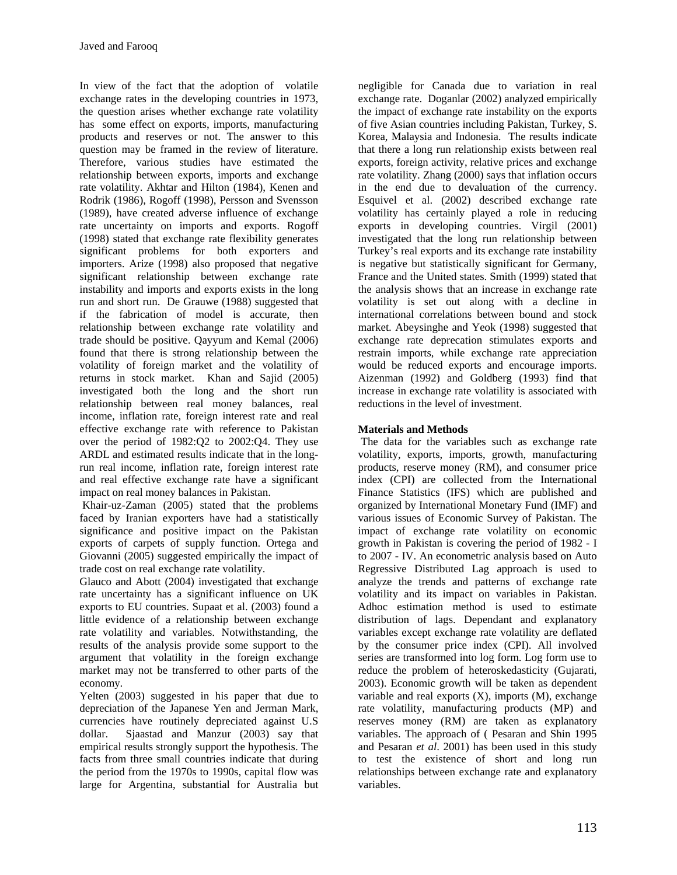In view of the fact that the adoption of volatile exchange rates in the developing countries in 1973, the question arises whether exchange rate volatility has some effect on exports, imports, manufacturing products and reserves or not. The answer to this question may be framed in the review of literature. Therefore, various studies have estimated the relationship between exports, imports and exchange rate volatility. Akhtar and Hilton (1984), Kenen and Rodrik (1986), Rogoff (1998), Persson and Svensson (1989), have created adverse influence of exchange rate uncertainty on imports and exports. Rogoff (1998) stated that exchange rate flexibility generates significant problems for both exporters and importers. Arize (1998) also proposed that negative significant relationship between exchange rate instability and imports and exports exists in the long run and short run. De Grauwe (1988) suggested that if the fabrication of model is accurate, then relationship between exchange rate volatility and trade should be positive. Qayyum and Kemal (2006) found that there is strong relationship between the volatility of foreign market and the volatility of returns in stock market. Khan and Sajid (2005) investigated both the long and the short run relationship between real money balances, real income, inflation rate, foreign interest rate and real effective exchange rate with reference to Pakistan over the period of 1982:Q2 to 2002:Q4. They use ARDL and estimated results indicate that in the longrun real income, inflation rate, foreign interest rate and real effective exchange rate have a significant impact on real money balances in Pakistan.

 Khair-uz-Zaman (2005) stated that the problems faced by Iranian exporters have had a statistically significance and positive impact on the Pakistan exports of carpets of supply function. Ortega and Giovanni (2005) suggested empirically the impact of trade cost on real exchange rate volatility.

Glauco and Abott (2004) investigated that exchange rate uncertainty has a significant influence on UK exports to EU countries. Supaat et al. (2003) found a little evidence of a relationship between exchange rate volatility and variables. Notwithstanding, the results of the analysis provide some support to the argument that volatility in the foreign exchange market may not be transferred to other parts of the economy.

Yelten (2003) suggested in his paper that due to depreciation of the Japanese Yen and Jerman Mark, currencies have routinely depreciated against U.S dollar. Sjaastad and Manzur (2003) say that empirical results strongly support the hypothesis. The facts from three small countries indicate that during the period from the 1970s to 1990s, capital flow was large for Argentina, substantial for Australia but

negligible for Canada due to variation in real exchange rate. Doganlar (2002) analyzed empirically the impact of exchange rate instability on the exports of five Asian countries including Pakistan, Turkey, S. Korea, Malaysia and Indonesia. The results indicate that there a long run relationship exists between real exports, foreign activity, relative prices and exchange rate volatility. Zhang (2000) says that inflation occurs in the end due to devaluation of the currency. Esquivel et al. (2002) described exchange rate volatility has certainly played a role in reducing exports in developing countries. Virgil (2001) investigated that the long run relationship between Turkey's real exports and its exchange rate instability is negative but statistically significant for Germany, France and the United states. Smith (1999) stated that the analysis shows that an increase in exchange rate volatility is set out along with a decline in international correlations between bound and stock market. Abeysinghe and Yeok (1998) suggested that exchange rate deprecation stimulates exports and restrain imports, while exchange rate appreciation would be reduced exports and encourage imports. Aizenman (1992) and Goldberg (1993) find that increase in exchange rate volatility is associated with reductions in the level of investment.

## **Materials and Methods**

 The data for the variables such as exchange rate volatility, exports, imports, growth, manufacturing products, reserve money (RM), and consumer price index (CPI) are collected from the International Finance Statistics (IFS) which are published and organized by International Monetary Fund (IMF) and various issues of Economic Survey of Pakistan. The impact of exchange rate volatility on economic growth in Pakistan is covering the period of 1982 - I to 2007 - IV. An econometric analysis based on Auto Regressive Distributed Lag approach is used to analyze the trends and patterns of exchange rate volatility and its impact on variables in Pakistan. Adhoc estimation method is used to estimate distribution of lags. Dependant and explanatory variables except exchange rate volatility are deflated by the consumer price index (CPI). All involved series are transformed into log form. Log form use to reduce the problem of heteroskedasticity (Gujarati, 2003). Economic growth will be taken as dependent variable and real exports  $(X)$ , imports  $(M)$ , exchange rate volatility, manufacturing products (MP) and reserves money (RM) are taken as explanatory variables. The approach of ( Pesaran and Shin 1995 and Pesaran *et al*. 2001) has been used in this study to test the existence of short and long run relationships between exchange rate and explanatory variables.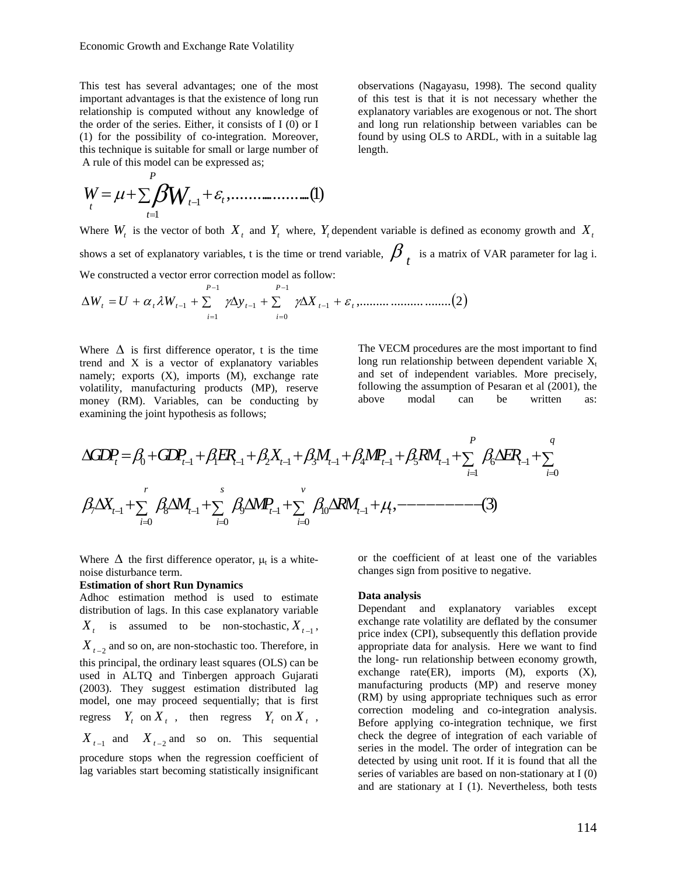This test has several advantages; one of the most important advantages is that the existence of long run relationship is computed without any knowledge of the order of the series. Either, it consists of I (0) or I (1) for the possibility of co-integration. Moreover, this technique is suitable for small or large number of A rule of this model can be expressed as;

,.....................(1) <sup>1</sup> *t t W* 1 *P t*  $W = \mu + \sum_f \beta W_{f-1} + \varepsilon$ =

observations (Nagayasu, 1998). The second quality of this test is that it is not necessary whether the explanatory variables are exogenous or not. The short and long run relationship between variables can be found by using OLS to ARDL, with in a suitable lag length.

Where  $W_t$  is the vector of both  $X_t$  and  $Y_t$  where,  $Y_t$  dependent variable is defined as economy growth and  $X_t$ shows a set of explanatory variables, t is the time or trend variable,  $\beta$ , is a matrix of VAR parameter for lag i. We constructed a vector error correction model as follow:

$$
\Delta W_{t} = U + \alpha_{t} \lambda W_{t-1} + \sum_{i=1}^{P-1} \gamma \Delta y_{t-1} + \sum_{i=0}^{P-1} \gamma \Delta X_{t-1} + \varepsilon_{t}, \dots \dots \dots \dots \dots \dots \dots \dots \dots (2)
$$

Where  $\Delta$  is first difference operator, t is the time trend and X is a vector of explanatory variables namely; exports  $(X)$ , imports  $(M)$ , exchange rate volatility, manufacturing products (MP), reserve money (RM). Variables, can be conducting by examining the joint hypothesis as follows;

The VECM procedures are the most important to find long run relationship between dependent variable  $X_t$ and set of independent variables. More precisely, following the assumption of Pesaran et al (2001), the above modal can be written as:

0 1 1 1 21 3 1 4 1 5 1 6 1 1 0 7 1 8 1 9 1 10 1 00 0 , (3) *P q t t tt t t t t i i rs v t t t tt ii i GDP GDP ER X M MP RM ER X M MP RM* β β βββ β β β β β βµ − −− − − − − = = −− − − == = ∆ =+ + + + + + + ∆ + ∑ ∑ ∆ + ∆ + ∆ + ∆ + −−−−−−−−− ∑∑ ∑

Where  $\Delta$  the first difference operator,  $\mu_t$  is a whitenoise disturbance term.

#### **Estimation of short Run Dynamics**

Adhoc estimation method is used to estimate distribution of lags. In this case explanatory variable  $X_t$  is assumed to be non-stochastic,  $X_{t-1}$ ,  $X_{t-2}$  and so on, are non-stochastic too. Therefore, in this principal, the ordinary least squares (OLS) can be used in ALTQ and Tinbergen approach Gujarati (2003). They suggest estimation distributed lag model, one may proceed sequentially; that is first regress  $Y_t$  on  $X_t$ , then regress  $Y_t$  on  $X_t$ ,  $X_{t-1}$  and  $X_{t-2}$  and so on. This sequential procedure stops when the regression coefficient of

lag variables start becoming statistically insignificant

or the coefficient of at least one of the variables changes sign from positive to negative.

#### **Data analysis**

Dependant and explanatory variables except exchange rate volatility are deflated by the consumer price index (CPI), subsequently this deflation provide appropriate data for analysis. Here we want to find the long- run relationship between economy growth, exchange rate $(ER)$ , imports  $(M)$ , exports  $(X)$ , manufacturing products (MP) and reserve money (RM) by using appropriate techniques such as error correction modeling and co-integration analysis. Before applying co-integration technique, we first check the degree of integration of each variable of series in the model. The order of integration can be detected by using unit root. If it is found that all the series of variables are based on non-stationary at I (0) and are stationary at I (1). Nevertheless, both tests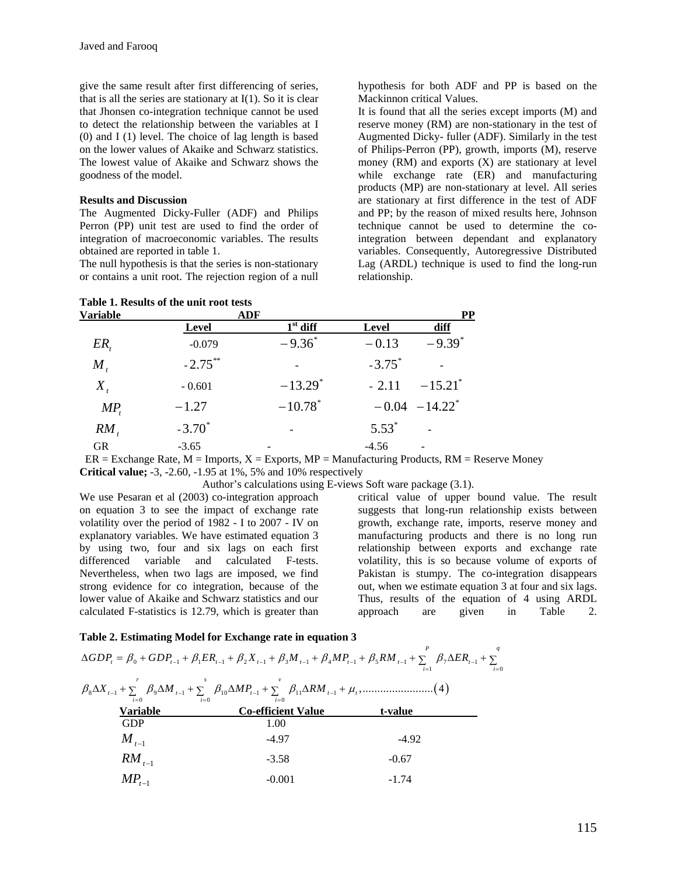give the same result after first differencing of series, that is all the series are stationary at  $I(1)$ . So it is clear that Jhonsen co-integration technique cannot be used to detect the relationship between the variables at I (0) and I (1) level. The choice of lag length is based on the lower values of Akaike and Schwarz statistics. The lowest value of Akaike and Schwarz shows the goodness of the model.

### **Results and Discussion**

The Augmented Dicky-Fuller (ADF) and Philips Perron (PP) unit test are used to find the order of integration of macroeconomic variables. The results obtained are reported in table 1.

The null hypothesis is that the series is non-stationary or contains a unit root. The rejection region of a null

hypothesis for both ADF and PP is based on the Mackinnon critical Values.

It is found that all the series except imports (M) and reserve money (RM) are non-stationary in the test of Augmented Dicky- fuller (ADF). Similarly in the test of Philips-Perron (PP), growth, imports (M), reserve money (RM) and exports (X) are stationary at level while exchange rate (ER) and manufacturing products (MP) are non-stationary at level. All series are stationary at first difference in the test of ADF and PP; by the reason of mixed results here, Johnson technique cannot be used to determine the cointegration between dependant and explanatory variables. Consequently, Autoregressive Distributed Lag (ARDL) technique is used to find the long-run relationship.

| Table 1. Results of the unit root tests |             |                       |                      |                               |  |
|-----------------------------------------|-------------|-----------------------|----------------------|-------------------------------|--|
| <b>Variable</b>                         | ADF         |                       |                      | <b>PP</b>                     |  |
|                                         | Level       | $1st$ diff            | Level                | diff                          |  |
| $ER_{t}$                                | $-0.079$    | $-9.36^*$             | $-0.13$              | $-9.39^*$                     |  |
| $M_{\star}$                             | $-2.75***$  |                       | $-3.75$ <sup>*</sup> |                               |  |
| $X_{t}$                                 | $-0.601$    | $-13.29$ <sup>*</sup> | $-2.11$              | $-15.21$ <sup>*</sup>         |  |
| $MP_t$                                  | $-1.27$     | $-10.78$ <sup>*</sup> |                      | $-0.04$ $-14.22$ <sup>*</sup> |  |
| $RM_{t}$                                | $-3.70^{*}$ |                       | $5.53*$              |                               |  |
| GR                                      | $-3.65$     |                       | $-4.56$              |                               |  |

 $ER = Exchange Rate, M = Imports, X = Exports, MP = Manufacturing Products, RM = Reserve Money$ **Critical value;** -3, -2.60, -1.95 at 1%, 5% and 10% respectively

Author's calculations using E-views Soft ware package (3.1).

We use Pesaran et al (2003) co-integration approach on equation 3 to see the impact of exchange rate volatility over the period of 1982 - I to 2007 - IV on explanatory variables. We have estimated equation 3 by using two, four and six lags on each first differenced variable and calculated F-tests. Nevertheless, when two lags are imposed, we find strong evidence for co integration, because of the lower value of Akaike and Schwarz statistics and our calculated F-statistics is 12.79, which is greater than

critical value of upper bound value. The result suggests that long-run relationship exists between growth, exchange rate, imports, reserve money and manufacturing products and there is no long run relationship between exports and exchange rate volatility, this is so because volume of exports of Pakistan is stumpy. The co-integration disappears out, when we estimate equation 3 at four and six lags. Thus, results of the equation of 4 using ARDL approach are given in Table 2.

### **Table 2. Estimating Model for Exchange rate in equation 3**

( ) 0 1 1 1 21 3 1 4 1 5 1 7 1 1 0 8 1 9 1 10 1 11 1 00 0 ,........................ 4 *P q t t tt t t t t i i rs v t t t tt ii i GDP GDP ER X M MP RM ER X M MP RM* β β ββ β β β β β β βµ − −− − − − − = = −− − − == = ∆ =+ + + + + + + ∆ + ∑ ∑ ∆+ ∆ + ∆ + ∆ + ∑∑ ∑ **Variable Co-efficient Value t-value**  GDP 1.00 *M <sup>t</sup>*−1 -4.97 -4.92 *RM <sup>t</sup>*−1 -3.58 -0.67 *MPt*<sup>−</sup>1 -0.001 -1.74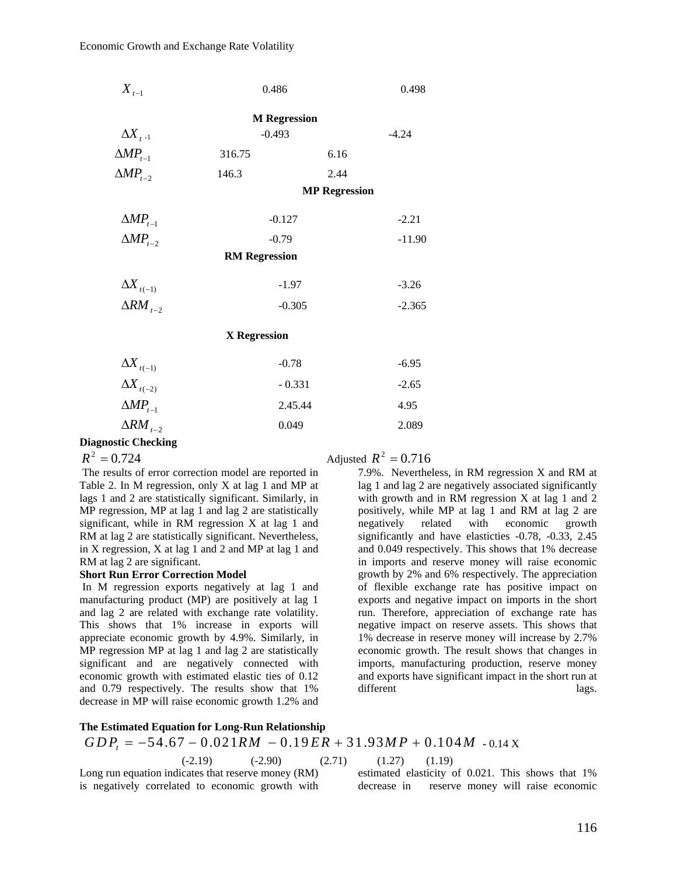| $X_{t-1}$                   | 0.486                |      | 0.498    |  |  |  |
|-----------------------------|----------------------|------|----------|--|--|--|
|                             | <b>M</b> Regression  |      |          |  |  |  |
| $\Delta X$ <sub>t-1</sub>   | $-0.493$             |      | $-4.24$  |  |  |  |
| $\triangle MP_{t-1}$        | 316.75               | 6.16 |          |  |  |  |
| $\triangle MP_{t-2}$        | 146.3                | 2.44 |          |  |  |  |
|                             | <b>MP Regression</b> |      |          |  |  |  |
| $\triangle MP_{t-1}$        | $-0.127$             |      | $-2.21$  |  |  |  |
| $\triangle MP_{t-2}$        | $-0.79$              |      | $-11.90$ |  |  |  |
|                             | <b>RM Regression</b> |      |          |  |  |  |
| $\Delta X$ <sub>t(-1)</sub> | $-1.97$              |      | $-3.26$  |  |  |  |
| $\Delta RM$ <sub>t-2</sub>  | $-0.305$             |      | $-2.365$ |  |  |  |
| <b>X</b> Regression         |                      |      |          |  |  |  |
| $\Delta X$ <sub>t(-1)</sub> | $-0.78$              |      | $-6.95$  |  |  |  |
| $\Delta X_{t(-2)}$          | $-0.331$             |      | $-2.65$  |  |  |  |
| $\triangle MP_{t-1}$        | 2.45.44              |      | 4.95     |  |  |  |

 $ΔRM<sub>+</sub>2$  0.049 2.089

## **Diagnostic Checking**

 The results of error correction model are reported in Table 2. In M regression, only X at lag 1 and MP at lags 1 and 2 are statistically significant. Similarly, in MP regression, MP at lag 1 and lag 2 are statistically significant, while in RM regression X at lag 1 and RM at lag 2 are statistically significant. Nevertheless, in X regression, X at lag 1 and 2 and MP at lag 1 and RM at lag 2 are significant.

### **Short Run Error Correction Model**

 In M regression exports negatively at lag 1 and manufacturing product (MP) are positively at lag 1 and lag 2 are related with exchange rate volatility. This shows that 1% increase in exports will appreciate economic growth by 4.9%. Similarly, in MP regression MP at lag 1 and lag 2 are statistically significant and are negatively connected with economic growth with estimated elastic ties of 0.12 and 0.79 respectively. The results show that 1% decrease in MP will raise economic growth 1.2% and

## $R^2 = 0.724$  Adjusted  $R^2 = 0.716$

7.9%. Nevertheless, in RM regression X and RM at lag 1 and lag 2 are negatively associated significantly with growth and in RM regression X at lag 1 and 2 positively, while MP at lag 1 and RM at lag 2 are negatively related with economic growth significantly and have elasticties -0.78, -0.33, 2.45 and 0.049 respectively. This shows that 1% decrease in imports and reserve money will raise economic growth by 2% and 6% respectively. The appreciation of flexible exchange rate has positive impact on exports and negative impact on imports in the short run. Therefore, appreciation of exchange rate has negative impact on reserve assets. This shows that 1% decrease in reserve money will increase by 2.7% economic growth. The result shows that changes in imports, manufacturing production, reserve money and exports have significant impact in the short run at different lags.

### **The Estimated Equation for Long-Run Relationship**

# $GDP_t = -54.67 - 0.021 RM - 0.19 ER + 31.93 MP + 0.104 M - 0.14 X$

$$
(-2.19) \qquad \qquad (-2.90) \qquad \qquad (2.71) \qquad \qquad (1.27) \qquad (1.19)
$$

Long run equation indicates that reserve money (RM) is negatively correlated to economic growth with

$$
(1.27) \t(1.19)
$$

estimated elasticity of 0.021. This shows that 1% decrease in reserve money will raise economic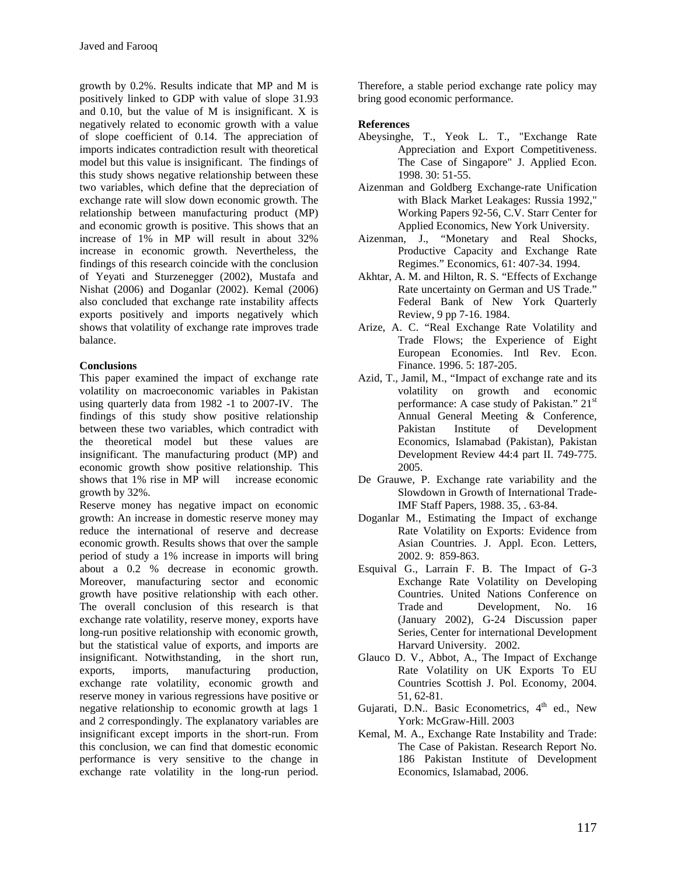growth by 0.2%. Results indicate that MP and M is positively linked to GDP with value of slope 31.93 and 0.10, but the value of M is insignificant. X is negatively related to economic growth with a value of slope coefficient of 0.14. The appreciation of imports indicates contradiction result with theoretical model but this value is insignificant. The findings of this study shows negative relationship between these two variables, which define that the depreciation of exchange rate will slow down economic growth. The relationship between manufacturing product (MP) and economic growth is positive. This shows that an increase of 1% in MP will result in about 32% increase in economic growth. Nevertheless, the findings of this research coincide with the conclusion of Yeyati and Sturzenegger (2002), Mustafa and Nishat (2006) and Doganlar (2002). Kemal (2006) also concluded that exchange rate instability affects exports positively and imports negatively which shows that volatility of exchange rate improves trade balance.

## **Conclusions**

This paper examined the impact of exchange rate volatility on macroeconomic variables in Pakistan using quarterly data from 1982 -1 to 2007-IV. The findings of this study show positive relationship between these two variables, which contradict with the theoretical model but these values are insignificant. The manufacturing product (MP) and economic growth show positive relationship. This shows that 1% rise in MP will increase economic growth by 32%.

Reserve money has negative impact on economic growth: An increase in domestic reserve money may reduce the international of reserve and decrease economic growth. Results shows that over the sample period of study a 1% increase in imports will bring about a 0.2 % decrease in economic growth. Moreover, manufacturing sector and economic growth have positive relationship with each other. The overall conclusion of this research is that exchange rate volatility, reserve money, exports have long-run positive relationship with economic growth, but the statistical value of exports, and imports are insignificant. Notwithstanding, in the short run, exports, imports, manufacturing production, exchange rate volatility, economic growth and reserve money in various regressions have positive or negative relationship to economic growth at lags 1 and 2 correspondingly. The explanatory variables are insignificant except imports in the short-run. From this conclusion, we can find that domestic economic performance is very sensitive to the change in exchange rate volatility in the long-run period.

Therefore, a stable period exchange rate policy may bring good economic performance.

## **References**

- Abeysinghe, T., Yeok L. T., "Exchange Rate Appreciation and Export Competitiveness. The Case of Singapore" J. Applied Econ. 1998. 30: 51-55.
- Aizenman and Goldberg Exchange-rate Unification with Black Market Leakages: Russia 1992," Working Papers 92-56, C.V. Starr Center for Applied Economics, New York University.
- Aizenman, J., "Monetary and Real Shocks, Productive Capacity and Exchange Rate Regimes." Economics, 61: 407-34. 1994.
- Akhtar, A. M. and Hilton, R. S. "Effects of Exchange Rate uncertainty on German and US Trade." Federal Bank of New York Quarterly Review, 9 pp 7-16. 1984.
- Arize, A. C. "Real Exchange Rate Volatility and Trade Flows; the Experience of Eight European Economies. Intl Rev. Econ. Finance. 1996. 5: 187-205.
- Azid, T., Jamil, M., "Impact of exchange rate and its volatility on growth and economic performance: A case study of Pakistan." 21<sup>st</sup> Annual General Meeting & Conference, Pakistan Institute of Development Economics, Islamabad (Pakistan), Pakistan Development Review 44:4 part II. 749-775. 2005.
- De Grauwe, P. Exchange rate variability and the Slowdown in Growth of International Trade-IMF Staff Papers, 1988. 35, . 63-84.
- Doganlar M., Estimating the Impact of exchange Rate Volatility on Exports: Evidence from Asian Countries. J. Appl. Econ. Letters, 2002. 9: 859-863.
- Esquival G., Larrain F. B. The Impact of G-3 Exchange Rate Volatility on Developing Countries. United Nations Conference on Trade and Development, No. 16 (January 2002), G-24 Discussion paper Series, Center for international Development Harvard University. 2002.
- Glauco D. V., Abbot, A., The Impact of Exchange Rate Volatility on UK Exports To EU Countries Scottish J. Pol. Economy, 2004. 51, 62-81.
- Gujarati, D.N.. Basic Econometrics,  $4<sup>th</sup>$  ed., New York: McGraw-Hill. 2003
- Kemal, M. A., Exchange Rate Instability and Trade: The Case of Pakistan. Research Report No. 186 Pakistan Institute of Development Economics, Islamabad, 2006.